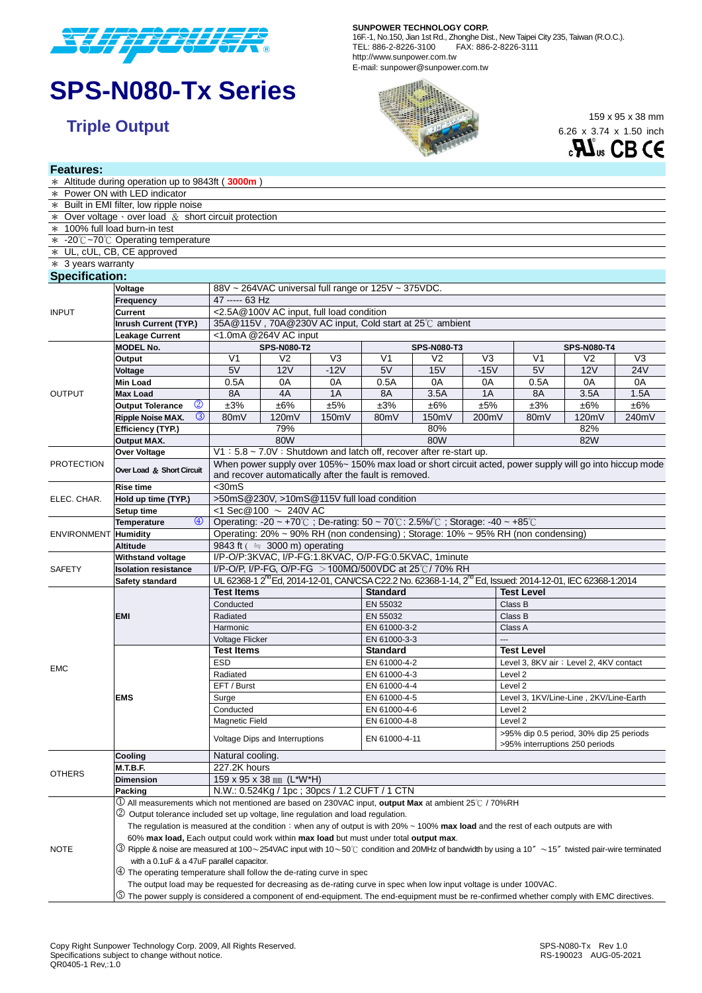

# **SPS-N080-Tx Series**

**Features:**

#### **SUNPOWER TECHNOLOGY CORP.**

16F.-1, No.150, Jian 1st Rd., Zhonghe Dist., New Taipei City 235, Taiwan (R.O.C.). TEL: 886-2-8226-3100 FAX: 886-2-8226-3111 http://www.sunpower.com.tw E-mail: sunpower@sunpower.com.tw



6.26 x 3.74 x 1.50 inch



|                       | * Altitude during operation up to 9843ft (3000m)                                                                                                             |                                                                                                          |                    |                                          |                                                                                                                                   |                    |                |                                                                           |                |                |  |  |
|-----------------------|--------------------------------------------------------------------------------------------------------------------------------------------------------------|----------------------------------------------------------------------------------------------------------|--------------------|------------------------------------------|-----------------------------------------------------------------------------------------------------------------------------------|--------------------|----------------|---------------------------------------------------------------------------|----------------|----------------|--|--|
|                       | * Power ON with LED indicator                                                                                                                                |                                                                                                          |                    |                                          |                                                                                                                                   |                    |                |                                                                           |                |                |  |  |
|                       | * Built in EMI filter, low ripple noise                                                                                                                      |                                                                                                          |                    |                                          |                                                                                                                                   |                    |                |                                                                           |                |                |  |  |
|                       | $*$ Over voltage $\cdot$ over load $\&$ short circuit protection                                                                                             |                                                                                                          |                    |                                          |                                                                                                                                   |                    |                |                                                                           |                |                |  |  |
|                       | * 100% full load burn-in test                                                                                                                                |                                                                                                          |                    |                                          |                                                                                                                                   |                    |                |                                                                           |                |                |  |  |
|                       | * -20℃~70℃ Operating temperature                                                                                                                             |                                                                                                          |                    |                                          |                                                                                                                                   |                    |                |                                                                           |                |                |  |  |
|                       | * UL, cUL, CB, CE approved                                                                                                                                   |                                                                                                          |                    |                                          |                                                                                                                                   |                    |                |                                                                           |                |                |  |  |
| $*$ 3 years warranty  |                                                                                                                                                              |                                                                                                          |                    |                                          |                                                                                                                                   |                    |                |                                                                           |                |                |  |  |
| <b>Specification:</b> |                                                                                                                                                              |                                                                                                          |                    |                                          |                                                                                                                                   |                    |                |                                                                           |                |                |  |  |
|                       | Voltage                                                                                                                                                      | 88V ~ 264VAC universal full range or 125V ~ 375VDC.                                                      |                    |                                          |                                                                                                                                   |                    |                |                                                                           |                |                |  |  |
| <b>INPUT</b>          | Frequency                                                                                                                                                    | 47 ----- 63 Hz                                                                                           |                    |                                          |                                                                                                                                   |                    |                |                                                                           |                |                |  |  |
|                       | <b>Current</b>                                                                                                                                               |                                                                                                          |                    | <2.5A@100V AC input, full load condition |                                                                                                                                   |                    |                |                                                                           |                |                |  |  |
|                       | <b>Inrush Current (TYP.)</b>                                                                                                                                 |                                                                                                          |                    |                                          | 35A@115V, 70A@230V AC input, Cold start at 25℃ ambient                                                                            |                    |                |                                                                           |                |                |  |  |
|                       | <b>Leakage Current</b>                                                                                                                                       | <1.0mA @264V AC input                                                                                    |                    |                                          |                                                                                                                                   |                    |                |                                                                           |                |                |  |  |
|                       | <b>MODEL No.</b>                                                                                                                                             |                                                                                                          | <b>SPS-N080-T2</b> |                                          |                                                                                                                                   | <b>SPS-N080-T3</b> |                | <b>SPS-N080-T4</b>                                                        |                |                |  |  |
|                       | Output                                                                                                                                                       | V <sub>1</sub>                                                                                           | V <sub>2</sub>     | V <sub>3</sub>                           | V <sub>1</sub>                                                                                                                    | V <sub>2</sub>     | V <sub>3</sub> | V <sub>1</sub>                                                            | V <sub>2</sub> | V <sub>3</sub> |  |  |
|                       | Voltage                                                                                                                                                      | 5V                                                                                                       | <b>12V</b>         | $-12V$                                   | 5V                                                                                                                                | 15V                | $-15V$         | 5V                                                                        | <b>12V</b>     | <b>24V</b>     |  |  |
|                       | Min Load                                                                                                                                                     | 0.5A                                                                                                     | 0A                 | 0A                                       | 0.5A                                                                                                                              | 0A                 | 0A             | 0.5A                                                                      | 0A             | 0A             |  |  |
| <b>OUTPUT</b>         | <b>Max Load</b>                                                                                                                                              | 8A                                                                                                       | 4A                 | 1A                                       | 8A                                                                                                                                | 3.5A               | 1A             | 8A                                                                        | 3.5A           | 1.5A           |  |  |
|                       | $\circledcirc$<br><b>Output Tolerance</b>                                                                                                                    | ±3%                                                                                                      | ±6%                | ±5%                                      | ±3%                                                                                                                               | ±6%                | ±5%            | ±3%                                                                       | ±6%            | ±6%            |  |  |
|                       | $\circled{3}$<br><b>Ripple Noise MAX.</b>                                                                                                                    | 80mV                                                                                                     | 120mV              | 150mV                                    | 80 <sub>m</sub> V                                                                                                                 | 150mV              | 200mV          | 80mV                                                                      | 120mV          | 240mV          |  |  |
|                       | Efficiency (TYP.)                                                                                                                                            | 79%                                                                                                      |                    |                                          | 80%                                                                                                                               |                    | 82%            |                                                                           |                |                |  |  |
|                       | Output MAX.                                                                                                                                                  | 80W                                                                                                      |                    |                                          | 80W                                                                                                                               |                    |                | 82W                                                                       |                |                |  |  |
|                       | <b>Over Voltage</b>                                                                                                                                          | V1: 5.8 ~ 7.0V : Shutdown and latch off, recover after re-start up.                                      |                    |                                          |                                                                                                                                   |                    |                |                                                                           |                |                |  |  |
| <b>PROTECTION</b>     |                                                                                                                                                              | When power supply over 105%~ 150% max load or short circuit acted, power supply will go into hiccup mode |                    |                                          |                                                                                                                                   |                    |                |                                                                           |                |                |  |  |
|                       | Over Load & Short Circuit                                                                                                                                    | and recover automatically after the fault is removed.                                                    |                    |                                          |                                                                                                                                   |                    |                |                                                                           |                |                |  |  |
|                       | <b>Rise time</b>                                                                                                                                             | $<$ 30mS                                                                                                 |                    |                                          |                                                                                                                                   |                    |                |                                                                           |                |                |  |  |
| ELEC. CHAR.           | Hold up time (TYP.)                                                                                                                                          | >50mS@230V, >10mS@115V full load condition                                                               |                    |                                          |                                                                                                                                   |                    |                |                                                                           |                |                |  |  |
|                       | Setup time                                                                                                                                                   | <1 Sec@100 $\sim 240V$ AC                                                                                |                    |                                          |                                                                                                                                   |                    |                |                                                                           |                |                |  |  |
|                       | $\circledcirc$<br><b>Temperature</b>                                                                                                                         | Operating: -20 ~ +70℃; De-rating: 50 ~ 70℃: 2.5%/℃; Storage: -40 ~ +85℃                                  |                    |                                          |                                                                                                                                   |                    |                |                                                                           |                |                |  |  |
| ENVIRONMENT Humidity  |                                                                                                                                                              | Operating: 20% ~ 90% RH (non condensing); Storage: 10% ~ 95% RH (non condensing)                         |                    |                                          |                                                                                                                                   |                    |                |                                                                           |                |                |  |  |
|                       | <b>Altitude</b>                                                                                                                                              | 9843 ft $($ = 3000 m) operating                                                                          |                    |                                          |                                                                                                                                   |                    |                |                                                                           |                |                |  |  |
|                       | <b>Withstand voltage</b>                                                                                                                                     | I/P-O/P:3KVAC, I/P-FG:1.8KVAC, O/P-FG:0.5KVAC, 1minute                                                   |                    |                                          |                                                                                                                                   |                    |                |                                                                           |                |                |  |  |
| <b>SAFETY</b>         | <b>Isolation resistance</b>                                                                                                                                  | I/P-O/P, I/P-FG, O/P-FG > 100MΩ/500VDC at 25°C/70% RH                                                    |                    |                                          |                                                                                                                                   |                    |                |                                                                           |                |                |  |  |
|                       | Safety standard                                                                                                                                              |                                                                                                          |                    |                                          | UL 62368-1 2 <sup>nd</sup> Ed, 2014-12-01, CAN/CSA C22.2 No. 62368-1-14, 2 <sup>nd</sup> Ed, Issued: 2014-12-01, IEC 62368-1:2014 |                    |                |                                                                           |                |                |  |  |
|                       |                                                                                                                                                              | <b>Test Items</b>                                                                                        |                    |                                          | <b>Standard</b>                                                                                                                   |                    |                | <b>Test Level</b>                                                         |                |                |  |  |
|                       | <b>EMI</b>                                                                                                                                                   | Conducted                                                                                                |                    |                                          | EN 55032                                                                                                                          |                    |                | Class B                                                                   |                |                |  |  |
|                       |                                                                                                                                                              | Radiated                                                                                                 |                    |                                          | EN 55032                                                                                                                          |                    |                | Class B                                                                   |                |                |  |  |
|                       |                                                                                                                                                              | Harmonic                                                                                                 |                    |                                          | EN 61000-3-2                                                                                                                      |                    |                | Class A                                                                   |                |                |  |  |
|                       |                                                                                                                                                              | Voltage Flicker                                                                                          |                    |                                          | EN 61000-3-3                                                                                                                      |                    |                |                                                                           |                |                |  |  |
|                       | <b>EMS</b>                                                                                                                                                   | <b>Test Items</b>                                                                                        |                    |                                          | <b>Standard</b>                                                                                                                   |                    |                | <b>Test Level</b>                                                         |                |                |  |  |
|                       |                                                                                                                                                              | <b>ESD</b>                                                                                               |                    |                                          | EN 61000-4-2                                                                                                                      |                    |                | Level 3, 8KV air ; Level 2, 4KV contact                                   |                |                |  |  |
| <b>EMC</b>            |                                                                                                                                                              | Radiated                                                                                                 |                    |                                          | EN 61000-4-3                                                                                                                      |                    |                | Level 2                                                                   |                |                |  |  |
|                       |                                                                                                                                                              | EFT / Burst                                                                                              |                    |                                          | EN 61000-4-4                                                                                                                      |                    |                | Level <sub>2</sub>                                                        |                |                |  |  |
|                       |                                                                                                                                                              | Surge                                                                                                    |                    |                                          | EN 61000-4-5                                                                                                                      |                    |                | Level 3, 1KV/Line-Line, 2KV/Line-Earth                                    |                |                |  |  |
|                       |                                                                                                                                                              | Conducted                                                                                                |                    |                                          | EN 61000-4-6                                                                                                                      |                    |                | Level 2                                                                   |                |                |  |  |
|                       |                                                                                                                                                              | Magnetic Field                                                                                           |                    |                                          | EN 61000-4-8                                                                                                                      |                    |                | Level 2                                                                   |                |                |  |  |
|                       |                                                                                                                                                              | Voltage Dips and Interruptions                                                                           |                    |                                          | EN 61000-4-11                                                                                                                     |                    |                | >95% dip 0.5 period, 30% dip 25 periods<br>>95% interruptions 250 periods |                |                |  |  |
| <b>OTHERS</b>         | Cooling                                                                                                                                                      | Natural cooling.                                                                                         |                    |                                          |                                                                                                                                   |                    |                |                                                                           |                |                |  |  |
|                       | M.T.B.F.                                                                                                                                                     | 227.2K hours                                                                                             |                    |                                          |                                                                                                                                   |                    |                |                                                                           |                |                |  |  |
|                       | <b>Dimension</b>                                                                                                                                             | 159 x 95 x 38 mm (L*W*H)                                                                                 |                    |                                          |                                                                                                                                   |                    |                |                                                                           |                |                |  |  |
|                       | Packing                                                                                                                                                      | N.W.: 0.524Kg / 1pc; 30pcs / 1.2 CUFT / 1 CTN                                                            |                    |                                          |                                                                                                                                   |                    |                |                                                                           |                |                |  |  |
| <b>NOTE</b>           | $\rm{U}$ All measurements which not mentioned are based on 230VAC input, output Max at ambient 25 $\rm{^\circ}\rm{C}$ / 70%RH                                |                                                                                                          |                    |                                          |                                                                                                                                   |                    |                |                                                                           |                |                |  |  |
|                       | 2 Output tolerance included set up voltage, line regulation and load regulation.                                                                             |                                                                                                          |                    |                                          |                                                                                                                                   |                    |                |                                                                           |                |                |  |  |
|                       | The regulation is measured at the condition: when any of output is with $20\% \sim 100\%$ max load and the rest of each outputs are with                     |                                                                                                          |                    |                                          |                                                                                                                                   |                    |                |                                                                           |                |                |  |  |
|                       | 60% max load, Each output could work within max load but must under total output max.                                                                        |                                                                                                          |                    |                                          |                                                                                                                                   |                    |                |                                                                           |                |                |  |  |
|                       | $\circled{3}$ Ripple & noise are measured at 100~254VAC input with 10~50°C condition and 20MHz of bandwidth by using a 10" ~15" twisted pair-wire terminated |                                                                                                          |                    |                                          |                                                                                                                                   |                    |                |                                                                           |                |                |  |  |
|                       | with a 0.1uF & a 47uF parallel capacitor.                                                                                                                    |                                                                                                          |                    |                                          |                                                                                                                                   |                    |                |                                                                           |                |                |  |  |
|                       | 4) The operating temperature shall follow the de-rating curve in spec                                                                                        |                                                                                                          |                    |                                          |                                                                                                                                   |                    |                |                                                                           |                |                |  |  |
|                       | The output load may be requested for decreasing as de-rating curve in spec when low input voltage is under 100VAC.                                           |                                                                                                          |                    |                                          |                                                                                                                                   |                    |                |                                                                           |                |                |  |  |
|                       | 5) The power supply is considered a component of end-equipment. The end-equipment must be re-confirmed whether comply with EMC directives.                   |                                                                                                          |                    |                                          |                                                                                                                                   |                    |                |                                                                           |                |                |  |  |